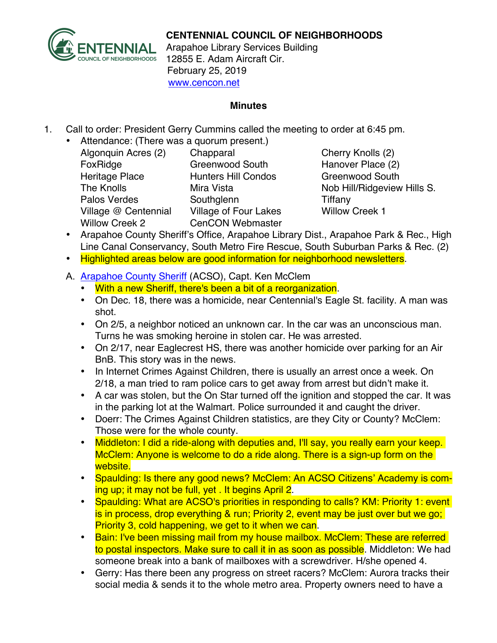

## **CENTENNIAL COUNCIL OF NEIGHBORHOODS**

Arapahoe Library Services Building 12855 E. Adam Aircraft Cir. February 25, 2019 www.cencon.net

#### **Minutes**

- 1. Call to order: President Gerry Cummins called the meeting to order at 6:45 pm.
	- Attendance: (There was a quorum present.)
		- Algonquin Acres (2) Chapparal Cherry Knolls (2) FoxRidge Greenwood South Hanover Place (2) Heritage Place **Hunters Hill Condos** Greenwood South The Knolls **Mira Vista** Mira Vista Nob Hill/Ridgeview Hills S. Palos Verdes Southglenn **Southglenn** Tiffany Village @ Centennial Village of Four Lakes Willow Creek 1 Willow Creek 2 CenCON Webmaster

- Arapahoe County Sheriff's Office, Arapahoe Library Dist., Arapahoe Park & Rec., High Line Canal Conservancy, South Metro Fire Rescue, South Suburban Parks & Rec. (2)
- Highlighted areas below are good information for neighborhood newsletters.

## A. [Arapahoe County Sheriff](http://www.arapahoesheriff.org) (ACSO), Capt. Ken McClem

- With a new Sheriff, there's been a bit of a reorganization.
- On Dec. 18, there was a homicide, near Centennial's Eagle St. facility. A man was shot.
- On 2/5, a neighbor noticed an unknown car. In the car was an unconscious man. Turns he was smoking heroine in stolen car. He was arrested.
- On 2/17, near Eaglecrest HS, there was another homicide over parking for an Air BnB. This story was in the news.
- In Internet Crimes Against Children, there is usually an arrest once a week. On 2/18, a man tried to ram police cars to get away from arrest but didn't make it.
- A car was stolen, but the On Star turned off the ignition and stopped the car. It was in the parking lot at the Walmart. Police surrounded it and caught the driver.
- Doerr: The Crimes Against Children statistics, are they City or County? McClem: Those were for the whole county.
- Middleton: I did a ride-along with deputies and, I'll say, you really earn your keep. McClem: Anyone is welcome to do a ride along. There is a sign-up form on the website.
- Spaulding: Is there any good news? McClem: An ACSO Citizens' Academy is coming up; it may not be full, yet . It begins April 2.
- Spaulding: What are ACSO's priorities in responding to calls? KM: Priority 1: event is in process, drop everything & run; Priority 2, event may be just over but we go; Priority 3, cold happening, we get to it when we can.
- Bain: I've been missing mail from my house mailbox. McClem: These are referred to postal inspectors. Make sure to call it in as soon as possible. Middleton: We had someone break into a bank of mailboxes with a screwdriver. H/she opened 4.
- Gerry: Has there been any progress on street racers? McClem: Aurora tracks their social media & sends it to the whole metro area. Property owners need to have a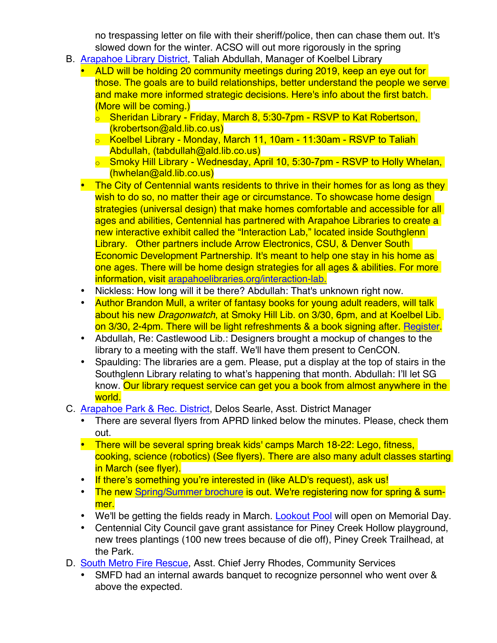no trespassing letter on file with their sheriff/police, then can chase them out. It's slowed down for the winter. ACSO will out more rigorously in the spring

- B. [Arapahoe Library District](http://www.arapahoelibraries.org/), Taliah Abdullah, Manager of Koelbel Library
	- ALD will be holding 20 community meetings during 2019, keep an eye out for those. The goals are to build relationships, better understand the people we serve and make more informed strategic decisions. Here's info about the first batch. (More will be coming.)
		- o Sheridan Library Friday, March 8, 5:30-7pm RSVP to Kat Robertson, (krobertson@ald.lib.co.us)
		- o Koelbel Library Monday, March 11, 10am 11:30am RSVP to Taliah Abdullah, (tabdullah@ald.lib.co.us)
		- o Smoky Hill Library Wednesday, April 10, 5:30-7pm RSVP to Holly Whelan, (hwhelan@ald.lib.co.us)
	- The City of Centennial wants residents to thrive in their homes for as long as they wish to do so, no matter their age or circumstance. To showcase home design strategies (universal design) that make homes comfortable and accessible for all ages and abilities, Centennial has partnered with Arapahoe Libraries to create a new interactive exhibit called the "Interaction Lab," located inside Southglenn Library. Other partners include Arrow Electronics, CSU, & Denver South Economic Development Partnership. It's meant to help one stay in his home as one ages. There will be home design strategies for all ages & abilities. For more information, visit arapahoelibraries.org/interaction-lab.
	- Nickless: How long will it be there? Abdullah: That's unknown right now.
	- Author Brandon Mull, a writer of fantasy books for young adult readers, will talk about his new *Dragonwatch*, at Smoky Hill Lib. on 3/30, 6pm, and at Koelbel Lib. on 3/30, 2-4pm. There will be light refreshments & a book signing after. [Register.](https://arapahoelibraries.org/meet-the-author-series/)
	- Abdullah, Re: Castlewood Lib.: Designers brought a mockup of changes to the library to a meeting with the staff. We'll have them present to CenCON.
	- Spaulding: The libraries are a gem. Please, put a display at the top of stairs in the Southglenn Library relating to what's happening that month. Abdullah: I'll let SG know. Our library request service can get you a book from almost anywhere in the world.
- C. [Arapahoe Park & Rec. District,](http://www.aprd.org) Delos Searle, Asst. District Manager
	- There are several flyers from APRD linked below the minutes. Please, check them out.
	- There will be several spring break kids' camps March 18-22: Lego, fitness, cooking, science (robotics) (See flyers). There are also many adult classes starting in March (see flyer).
	- If there's something you're interested in (like ALD's request), ask us!
	- The new Spring/Summer brochure is out. We're registering now for spring & summer.
	- We'll be getting the fields ready in March. [Lookout Pool](http://www.aprd.org/html/lookout_park___pool.html) will open on Memorial Day.
	- Centennial City Council gave grant assistance for Piney Creek Hollow playground, new trees plantings (100 new trees because of die off), Piney Creek Trailhead, at the Park.
- D. [South Metro Fire Rescue,](http://www.southmetro.org/) Asst. Chief Jerry Rhodes, Community Services
	- SMFD had an internal awards banquet to recognize personnel who went over & above the expected.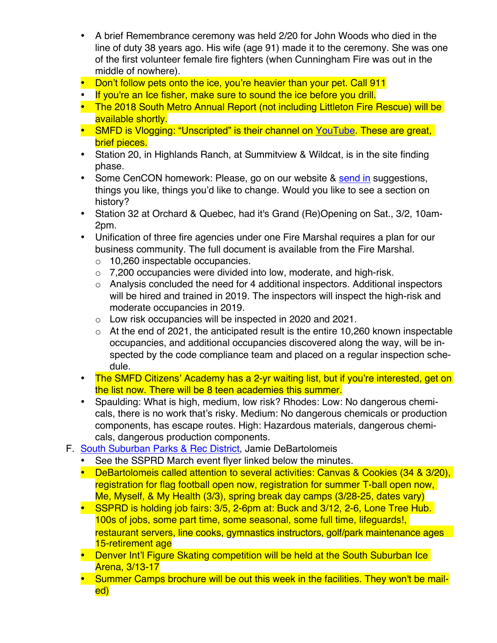- A brief Remembrance ceremony was held 2/20 for John Woods who died in the line of duty 38 years ago. His wife (age 91) made it to the ceremony. She was one of the first volunteer female fire fighters (when Cunningham Fire was out in the middle of nowhere).
- Don't follow pets onto the ice, you're heavier than your pet. Call 911
- If you're an Ice fisher, make sure to sound the ice before you drill.
- The 2018 South Metro Annual Report (not including Littleton Fire Rescue) will be available shortly.
- SMFD is Vlogging: "Unscripted" is their channel on YouTube. These are great, brief pieces.
- Station 20, in Highlands Ranch, at Summitview & Wildcat, is in the site finding phase.
- Some CenCON homework: Please, go on our website & [send in](mailto:kristin.eckmann@southmetro.org) suggestions, things you like, things you'd like to change. Would you like to see a section on history?
- Station 32 at Orchard & Quebec, had it's Grand (Re)Opening on Sat., 3/2, 10am-2pm.
- Unification of three fire agencies under one Fire Marshal requires a plan for our business community. The full document is available from the Fire Marshal.
	- o 10,260 inspectable occupancies.
	- $\circ$  7,200 occupancies were divided into low, moderate, and high-risk.
	- o Analysis concluded the need for 4 additional inspectors. Additional inspectors will be hired and trained in 2019. The inspectors will inspect the high-risk and moderate occupancies in 2019.
	- o Low risk occupancies will be inspected in 2020 and 2021.
	- $\circ$  At the end of 2021, the anticipated result is the entire 10,260 known inspectable occupancies, and additional occupancies discovered along the way, will be inspected by the code compliance team and placed on a regular inspection schedule.
- The SMFD Citizens' Academy has a 2-yr waiting list, but if you're interested, get on the list now. There will be 8 teen academies this summer.
- Spaulding: What is high, medium, low risk? Rhodes: Low: No dangerous chemicals, there is no work that's risky. Medium: No dangerous chemicals or production components, has escape routes. High: Hazardous materials, dangerous chemicals, dangerous production components.
- F. [South Suburban Parks & Rec District,](http://www.SSPR.org) Jamie DeBartolomeis
	- See the SSPRD March event flyer linked below the minutes.
	- DeBartolomeis called attention to several activities: Canvas & Cookies (34 & 3/20), registration for flag football open now, registration for summer T-ball open now, Me, Myself, & My Health (3/3), spring break day camps (3/28-25, dates vary)
	- SSPRD is holding job fairs: 3/5, 2-6pm at: Buck and 3/12, 2-6, Lone Tree Hub. 100s of jobs, some part time, some seasonal, some full time, lifeguards!, 15-retirement age restaurant servers, line cooks, gymnastics instructors, golf/park maintenance ages
	- Denver Int'l Figure Skating competition will be held at the South Suburban Ice Arena, 3/13-17
	- Summer Camps brochure will be out this week in the facilities. They won't be mailed)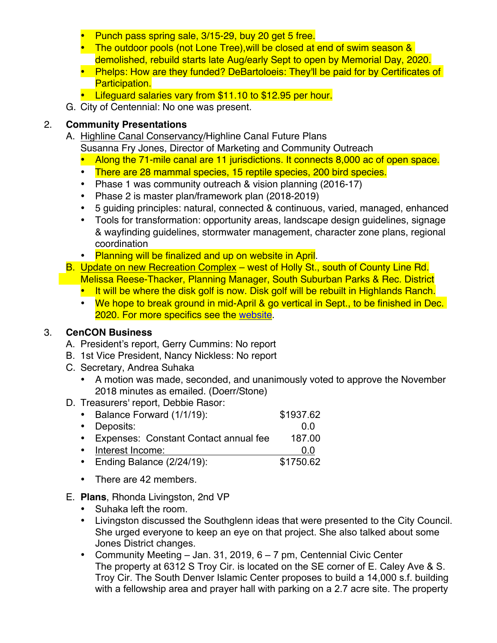- Punch pass spring sale, 3/15-29, buy 20 get 5 free.
- The outdoor pools (not Lone Tree), will be closed at end of swim season & demolished, rebuild starts late Aug/early Sept to open by Memorial Day, 2020.
- Phelps: How are they funded? DeBartoloeis: They'll be paid for by Certificates of Participation.
- Lifeguard salaries vary from \$11.10 to \$12.95 per hour.
- G. City of Centennial: No one was present.

# 2. **Community Presentations**

- A. Highline Canal Conservancy/Highline Canal Future Plans Susanna Fry Jones, Director of Marketing and Community Outreach
	- Along the 71-mile canal are 11 jurisdictions. It connects 8,000 ac of open space.
	- There are 28 mammal species, 15 reptile species, 200 bird species.
	- Phase 1 was community outreach & vision planning (2016-17)
	- Phase 2 is master plan/framework plan (2018-2019)
	- 5 guiding principles: natural, connected & continuous, varied, managed, enhanced
	- Tools for transformation: opportunity areas, landscape design guidelines, signage & wayfinding guidelines, stormwater management, character zone plans, regional coordination
	- Planning will be finalized and up on website in April.
- B. Update on new Recreation Complex west of Holly St., south of County Line Rd. Melissa Reese-Thacker, Planning Manager, South Suburban Parks & Rec. District
	- It will be where the disk golf is now. Disk golf will be rebuilt in Highlands Ranch.
	- We hope to break ground in mid-April & go vertical in Sept., to be finished in Dec. 2020. For more specifics see the [website.](http://www.ssprd.org/recreation-complex)

# 3. **CenCON Business**

- A. President's report, Gerry Cummins: No report
- B. 1st Vice President, Nancy Nickless: No report
- C. Secretary, Andrea Suhaka
	- A motion was made, seconded, and unanimously voted to approve the November 2018 minutes as emailed. (Doerr/Stone)
- D. Treasurers' report, Debbie Rasor:

| Balance Forward (1/1/19):               | \$1937.62 |
|-----------------------------------------|-----------|
| • Deposits:                             | 0 Q       |
| • Expenses: Constant Contact annual fee | 187.00    |
| • Interest Income:                      | 0 O       |
| • Ending Balance $(2/24/19)$ :          | \$1750.62 |

- There are 42 members.
- E. **Plans**, Rhonda Livingston, 2nd VP
	- Suhaka left the room.
	- Livingston discussed the Southglenn ideas that were presented to the City Council. She urged everyone to keep an eye on that project. She also talked about some Jones District changes.
	- Community Meeting Jan. 31, 2019, 6 7 pm, Centennial Civic Center The property at 6312 S Troy Cir. is located on the SE corner of E. Caley Ave & S. Troy Cir. The South Denver Islamic Center proposes to build a 14,000 s.f. building with a fellowship area and prayer hall with parking on a 2.7 acre site. The property